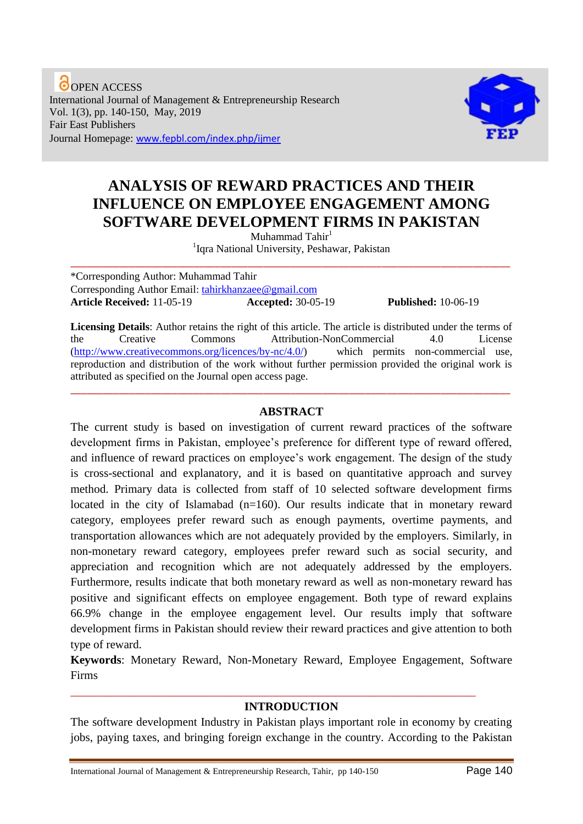**O** OPEN ACCESS International Journal of Management & Entrepreneurship Research Vol. 1(3), pp. 140-150, May, 2019 Fair East Publishers Journal Homepage: www.fepbl.com/index.php/ijmer



# **ANALYSIS OF REWARD PRACTICES AND THEIR INFLUENCE ON EMPLOYEE ENGAGEMENT AMONG SOFTWARE DEVELOPMENT FIRMS IN PAKISTAN**

Muhammad Tahir<sup>1</sup> <sup>1</sup> Iqra National University, Peshawar, Pakistan

\_\_\_\_\_\_\_\_\_\_\_\_\_\_\_\_\_\_\_\_\_\_\_\_\_\_\_\_\_\_\_\_\_\_\_\_\_\_\_\_\_\_\_\_\_\_\_\_\_\_\_\_\_\_\_\_\_\_\_\_\_\_\_\_\_\_\_\_\_\_\_\_\_\_\_\_\_\_\_\_\_\_

\*Corresponding Author: Muhammad Tahir Corresponding Author Email: [tahirkhanzaee@gmail.com](mailto:tahirkhanzaee@gmail.com) **Article Received:** 11-05-19 **Accepted:** 30-05-19 **Published:** 10-06-19

**Licensing Details**: Author retains the right of this article. The article is distributed under the terms of the Creative Commons Attribution-NonCommercial 4.0 License [\(http://www.creativecommons.org/licences/by-nc/4.0/\)](http://www.creativecommons.org/licences/by-nc/4.0/) which permits non-commercial use, reproduction and distribution of the work without further permission provided the original work is attributed as specified on the Journal open access page.

# **ABSTRACT**

\_\_\_\_\_\_\_\_\_\_\_\_\_\_\_\_\_\_\_\_\_\_\_\_\_\_\_\_\_\_\_\_\_\_\_\_\_\_\_\_\_\_\_\_\_\_\_\_\_\_\_\_\_\_\_\_\_\_\_\_\_\_\_\_\_\_\_\_\_\_\_\_\_\_\_\_\_\_\_\_\_\_

The current study is based on investigation of current reward practices of the software development firms in Pakistan, employee's preference for different type of reward offered, and influence of reward practices on employee's work engagement. The design of the study is cross-sectional and explanatory, and it is based on quantitative approach and survey method. Primary data is collected from staff of 10 selected software development firms located in the city of Islamabad  $(n=160)$ . Our results indicate that in monetary reward category, employees prefer reward such as enough payments, overtime payments, and transportation allowances which are not adequately provided by the employers. Similarly, in non-monetary reward category, employees prefer reward such as social security, and appreciation and recognition which are not adequately addressed by the employers. Furthermore, results indicate that both monetary reward as well as non-monetary reward has positive and significant effects on employee engagement. Both type of reward explains 66.9% change in the employee engagement level. Our results imply that software development firms in Pakistan should review their reward practices and give attention to both type of reward.

**Keywords**: Monetary Reward, Non-Monetary Reward, Employee Engagement, Software Firms

#### **INTRODUCTION**

\_\_\_\_\_\_\_\_\_\_\_\_\_\_\_\_\_\_\_\_\_\_\_\_\_\_\_\_\_\_\_\_\_\_\_\_\_\_\_\_\_\_\_\_\_\_\_\_\_\_\_\_\_\_\_\_\_\_\_\_\_\_\_\_\_\_\_\_\_

The software development Industry in Pakistan plays important role in economy by creating jobs, paying taxes, and bringing foreign exchange in the country. According to the Pakistan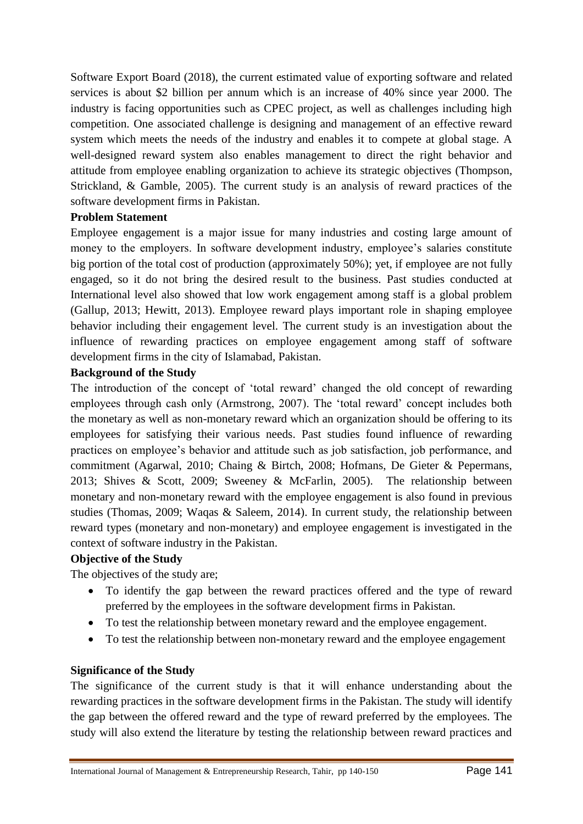Software Export Board (2018), the current estimated value of exporting software and related services is about \$2 billion per annum which is an increase of 40% since year 2000. The industry is facing opportunities such as CPEC project, as well as challenges including high competition. One associated challenge is designing and management of an effective reward system which meets the needs of the industry and enables it to compete at global stage. A well-designed reward system also enables management to direct the right behavior and attitude from employee enabling organization to achieve its strategic objectives (Thompson, Strickland, & Gamble, 2005). The current study is an analysis of reward practices of the software development firms in Pakistan.

# **Problem Statement**

Employee engagement is a major issue for many industries and costing large amount of money to the employers. In software development industry, employee's salaries constitute big portion of the total cost of production (approximately 50%); yet, if employee are not fully engaged, so it do not bring the desired result to the business. Past studies conducted at International level also showed that low work engagement among staff is a global problem (Gallup, 2013; Hewitt, 2013). Employee reward plays important role in shaping employee behavior including their engagement level. The current study is an investigation about the influence of rewarding practices on employee engagement among staff of software development firms in the city of Islamabad, Pakistan.

# **Background of the Study**

The introduction of the concept of 'total reward' changed the old concept of rewarding employees through cash only (Armstrong, 2007). The 'total reward' concept includes both the monetary as well as non-monetary reward which an organization should be offering to its employees for satisfying their various needs. Past studies found influence of rewarding practices on employee's behavior and attitude such as job satisfaction, job performance, and commitment (Agarwal, 2010; Chaing & Birtch, 2008; Hofmans, De Gieter & Pepermans, 2013; Shives & Scott, 2009; Sweeney & McFarlin, 2005). The relationship between monetary and non-monetary reward with the employee engagement is also found in previous studies (Thomas, 2009; Waqas & Saleem, 2014). In current study, the relationship between reward types (monetary and non-monetary) and employee engagement is investigated in the context of software industry in the Pakistan.

# **Objective of the Study**

The objectives of the study are;

- To identify the gap between the reward practices offered and the type of reward preferred by the employees in the software development firms in Pakistan.
- To test the relationship between monetary reward and the employee engagement.
- To test the relationship between non-monetary reward and the employee engagement

# **Significance of the Study**

The significance of the current study is that it will enhance understanding about the rewarding practices in the software development firms in the Pakistan. The study will identify the gap between the offered reward and the type of reward preferred by the employees. The study will also extend the literature by testing the relationship between reward practices and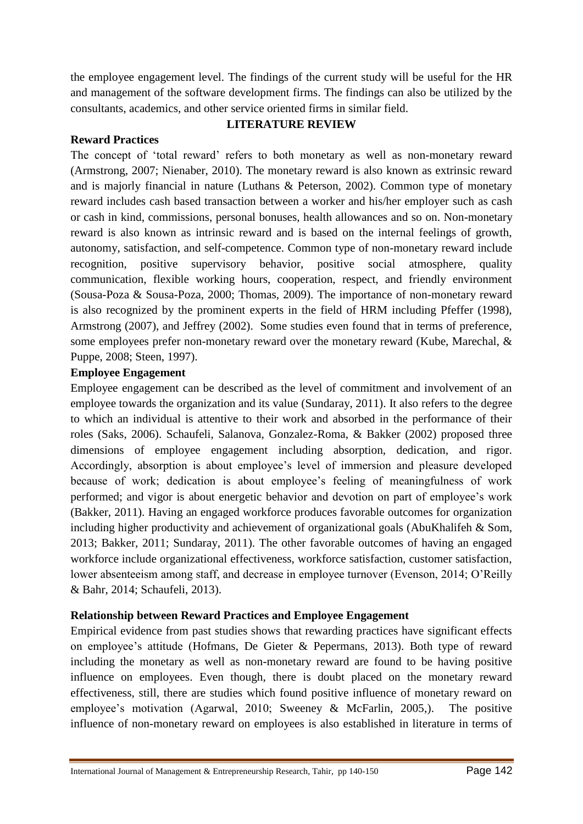the employee engagement level. The findings of the current study will be useful for the HR and management of the software development firms. The findings can also be utilized by the consultants, academics, and other service oriented firms in similar field.

### **LITERATURE REVIEW**

### **Reward Practices**

The concept of 'total reward' refers to both monetary as well as non-monetary reward (Armstrong, 2007; Nienaber, 2010). The monetary reward is also known as extrinsic reward and is majorly financial in nature (Luthans & Peterson, 2002). Common type of monetary reward includes cash based transaction between a worker and his/her employer such as cash or cash in kind, commissions, personal bonuses, health allowances and so on. Non-monetary reward is also known as intrinsic reward and is based on the internal feelings of growth, autonomy, satisfaction, and self-competence. Common type of non-monetary reward include recognition, positive supervisory behavior, positive social atmosphere, quality communication, flexible working hours, cooperation, respect, and friendly environment (Sousa-Poza & Sousa-Poza, 2000; Thomas, 2009). The importance of non-monetary reward is also recognized by the prominent experts in the field of HRM including Pfeffer (1998), Armstrong (2007), and Jeffrey (2002). Some studies even found that in terms of preference, some employees prefer non-monetary reward over the monetary reward (Kube, Marechal, & Puppe, 2008; Steen, 1997).

### **Employee Engagement**

Employee engagement can be described as the level of commitment and involvement of an employee towards the organization and its value (Sundaray, 2011). It also refers to the degree to which an individual is attentive to their work and absorbed in the performance of their roles (Saks, 2006). Schaufeli, Salanova, Gonzalez-Roma, & Bakker (2002) proposed three dimensions of employee engagement including absorption, dedication, and rigor. Accordingly, absorption is about employee's level of immersion and pleasure developed because of work; dedication is about employee's feeling of meaningfulness of work performed; and vigor is about energetic behavior and devotion on part of employee's work (Bakker, 2011). Having an engaged workforce produces favorable outcomes for organization including higher productivity and achievement of organizational goals (AbuKhalifeh & Som, 2013; Bakker, 2011; Sundaray, 2011). The other favorable outcomes of having an engaged workforce include organizational effectiveness, workforce satisfaction, customer satisfaction, lower absenteeism among staff, and decrease in employee turnover (Evenson, 2014; O'Reilly & Bahr, 2014; Schaufeli, 2013).

# **Relationship between Reward Practices and Employee Engagement**

Empirical evidence from past studies shows that rewarding practices have significant effects on employee's attitude (Hofmans, De Gieter & Pepermans, 2013). Both type of reward including the monetary as well as non-monetary reward are found to be having positive influence on employees. Even though, there is doubt placed on the monetary reward effectiveness, still, there are studies which found positive influence of monetary reward on employee's motivation (Agarwal, 2010; Sweeney & McFarlin, 2005,). The positive influence of non-monetary reward on employees is also established in literature in terms of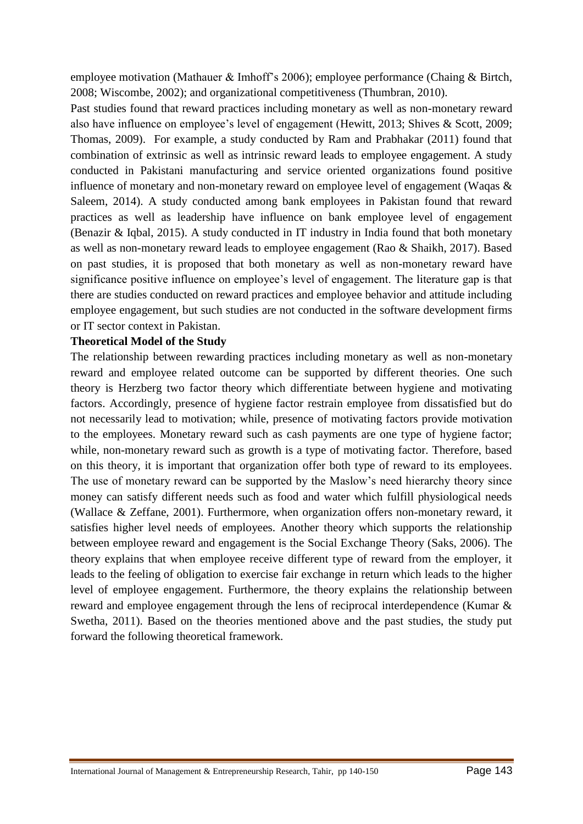employee motivation (Mathauer & Imhoff's 2006); employee performance (Chaing & Birtch, 2008; Wiscombe, 2002); and organizational competitiveness (Thumbran, 2010).

Past studies found that reward practices including monetary as well as non-monetary reward also have influence on employee's level of engagement (Hewitt, 2013; Shives & Scott, 2009; Thomas, 2009). For example, a study conducted by Ram and Prabhakar (2011) found that combination of extrinsic as well as intrinsic reward leads to employee engagement. A study conducted in Pakistani manufacturing and service oriented organizations found positive influence of monetary and non-monetary reward on employee level of engagement (Waqas & Saleem, 2014). A study conducted among bank employees in Pakistan found that reward practices as well as leadership have influence on bank employee level of engagement (Benazir & Iqbal, 2015). A study conducted in IT industry in India found that both monetary as well as non-monetary reward leads to employee engagement (Rao & Shaikh, 2017). Based on past studies, it is proposed that both monetary as well as non-monetary reward have significance positive influence on employee's level of engagement. The literature gap is that there are studies conducted on reward practices and employee behavior and attitude including employee engagement, but such studies are not conducted in the software development firms or IT sector context in Pakistan.

#### **Theoretical Model of the Study**

The relationship between rewarding practices including monetary as well as non-monetary reward and employee related outcome can be supported by different theories. One such theory is Herzberg two factor theory which differentiate between hygiene and motivating factors. Accordingly, presence of hygiene factor restrain employee from dissatisfied but do not necessarily lead to motivation; while, presence of motivating factors provide motivation to the employees. Monetary reward such as cash payments are one type of hygiene factor; while, non-monetary reward such as growth is a type of motivating factor. Therefore, based on this theory, it is important that organization offer both type of reward to its employees. The use of monetary reward can be supported by the Maslow's need hierarchy theory since money can satisfy different needs such as food and water which fulfill physiological needs (Wallace & Zeffane, 2001). Furthermore, when organization offers non-monetary reward, it satisfies higher level needs of employees. Another theory which supports the relationship between employee reward and engagement is the Social Exchange Theory (Saks, 2006). The theory explains that when employee receive different type of reward from the employer, it leads to the feeling of obligation to exercise fair exchange in return which leads to the higher level of employee engagement. Furthermore, the theory explains the relationship between reward and employee engagement through the lens of reciprocal interdependence (Kumar & Swetha, 2011). Based on the theories mentioned above and the past studies, the study put forward the following theoretical framework.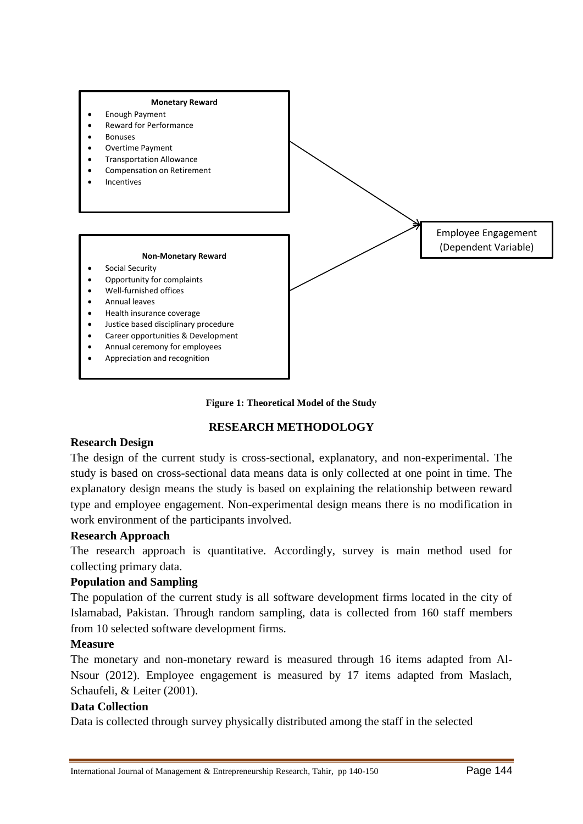



# **RESEARCH METHODOLOGY**

#### **Research Design**

The design of the current study is cross-sectional, explanatory, and non-experimental. The study is based on cross-sectional data means data is only collected at one point in time. The explanatory design means the study is based on explaining the relationship between reward type and employee engagement. Non-experimental design means there is no modification in work environment of the participants involved.

# **Research Approach**

The research approach is quantitative. Accordingly, survey is main method used for collecting primary data.

# **Population and Sampling**

The population of the current study is all software development firms located in the city of Islamabad, Pakistan. Through random sampling, data is collected from 160 staff members from 10 selected software development firms.

#### **Measure**

The monetary and non-monetary reward is measured through 16 items adapted from Al-Nsour (2012). Employee engagement is measured by 17 items adapted from Maslach, Schaufeli, & Leiter (2001).

# **Data Collection**

Data is collected through survey physically distributed among the staff in the selected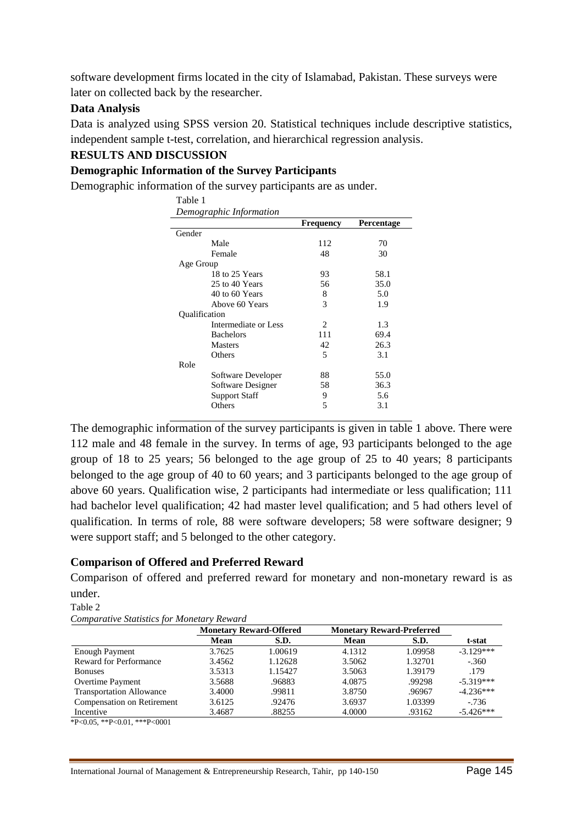software development firms located in the city of Islamabad, Pakistan. These surveys were later on collected back by the researcher.

# **Data Analysis**

Data is analyzed using SPSS version 20. Statistical techniques include descriptive statistics, independent sample t-test, correlation, and hierarchical regression analysis.

# **RESULTS AND DISCUSSION**

# **Demographic Information of the Survey Participants**

Demographic information of the survey participants are as under.

| Table 1              |                         |                |            |
|----------------------|-------------------------|----------------|------------|
|                      | Demographic Information |                |            |
|                      |                         | Frequency      | Percentage |
| Gender               |                         |                |            |
|                      | Male                    | 112            | 70         |
|                      | Female                  | 48             | 30         |
| Age Group            |                         |                |            |
|                      | 18 to 25 Years          | 93             | 58.1       |
|                      | 25 to 40 Years          | 56             | 35.0       |
|                      | 40 to 60 Years          | 8              | 5.0        |
|                      | Above 60 Years          | 3              | 1.9        |
| <b>Qualification</b> |                         |                |            |
|                      | Intermediate or Less    | 2              | 1.3        |
|                      | <b>Bachelors</b>        | 111            | 69.4       |
|                      | <b>Masters</b>          | 42             | 26.3       |
|                      | Others                  | $\overline{5}$ | 3.1        |
| Role                 |                         |                |            |
|                      | Software Developer      | 88             | 55.0       |
|                      | Software Designer       | 58             | 36.3       |
|                      | <b>Support Staff</b>    | 9              | 5.6        |
|                      | Others                  | 5              | 3.1        |

The demographic information of the survey participants is given in table 1 above. There were 112 male and 48 female in the survey. In terms of age, 93 participants belonged to the age group of 18 to 25 years; 56 belonged to the age group of 25 to 40 years; 8 participants belonged to the age group of 40 to 60 years; and 3 participants belonged to the age group of above 60 years. Qualification wise, 2 participants had intermediate or less qualification; 111 had bachelor level qualification; 42 had master level qualification; and 5 had others level of qualification. In terms of role, 88 were software developers; 58 were software designer; 9 were support staff; and 5 belonged to the other category.

# **Comparison of Offered and Preferred Reward**

Comparison of offered and preferred reward for monetary and non-monetary reward is as under.

Table 2

*Comparative Statistics for Monetary Reward*

|                                 | <b>Monetary Reward-Offered</b> |         |        | <b>Monetary Reward-Preferred</b> |             |  |
|---------------------------------|--------------------------------|---------|--------|----------------------------------|-------------|--|
|                                 | Mean                           | S.D.    | Mean   | S.D.                             | t-stat      |  |
| <b>Enough Payment</b>           | 3.7625                         | 1.00619 | 4.1312 | 1.09958                          | $-3.129***$ |  |
| <b>Reward for Performance</b>   | 3.4562                         | 1.12628 | 3.5062 | 1.32701                          | $-.360$     |  |
| <b>Bonuses</b>                  | 3.5313                         | 1.15427 | 3.5063 | 1.39179                          | .179        |  |
| <b>Overtime Payment</b>         | 3.5688                         | .96883  | 4.0875 | .99298                           | $-5.319***$ |  |
| <b>Transportation Allowance</b> | 3.4000                         | .99811  | 3.8750 | .96967                           | $-4.236***$ |  |
| Compensation on Retirement      | 3.6125                         | .92476  | 3.6937 | 1.03399                          | $-736$      |  |
| Incentive                       | 3.4687                         | .88255  | 4.0000 | .93162                           | $-5.426***$ |  |

\*P<0.05, \*\*P<0.01, \*\*\*P<0001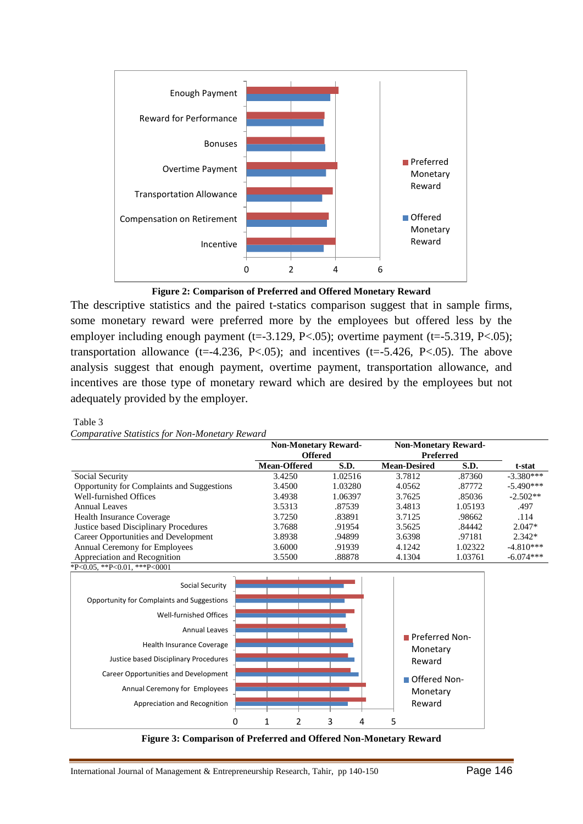



The descriptive statistics and the paired t-statics comparison suggest that in sample firms, some monetary reward were preferred more by the employees but offered less by the employer including enough payment (t=-3.129, P<.05); overtime payment (t=-5.319, P<.05); transportation allowance (t=-4.236, P<.05); and incentives (t=-5.426, P<.05). The above analysis suggest that enough payment, overtime payment, transportation allowance, and incentives are those type of monetary reward which are desired by the employees but not adequately provided by the employer.

#### Table 3

*Comparative Statistics for Non-Monetary Reward*

|                                            | <b>Non-Monetary Reward-</b><br><b>Offered</b> |         | <b>Non-Monetary Reward-</b><br>Preferred |         |             |
|--------------------------------------------|-----------------------------------------------|---------|------------------------------------------|---------|-------------|
|                                            | <b>Mean-Offered</b>                           | S.D.    | <b>Mean-Desired</b>                      | S.D.    | t-stat      |
| Social Security                            | 3.4250                                        | 1.02516 | 3.7812                                   | .87360  | $-3.380***$ |
| Opportunity for Complaints and Suggestions | 3.4500                                        | 1.03280 | 4.0562                                   | .87772  | $-5.490***$ |
| Well-furnished Offices                     | 3.4938                                        | 1.06397 | 3.7625                                   | .85036  | $-2.502**$  |
| Annual Leaves                              | 3.5313                                        | .87539  | 3.4813                                   | 1.05193 | .497        |
| <b>Health Insurance Coverage</b>           | 3.7250                                        | .83891  | 3.7125                                   | .98662  | .114        |
| Justice based Disciplinary Procedures      | 3.7688                                        | .91954  | 3.5625                                   | .84442  | $2.047*$    |
| Career Opportunities and Development       | 3.8938                                        | .94899  | 3.6398                                   | .97181  | $2.342*$    |
| <b>Annual Ceremony for Employees</b>       | 3.6000                                        | .91939  | 4.1242                                   | 1.02322 | $-4.810***$ |
| Appreciation and Recognition               | 3.5500                                        | .88878  | 4.1304                                   | 1.03761 | $-6.074***$ |
| *P<0.05. **P<0.01. ***P<0001               |                                               |         |                                          |         |             |



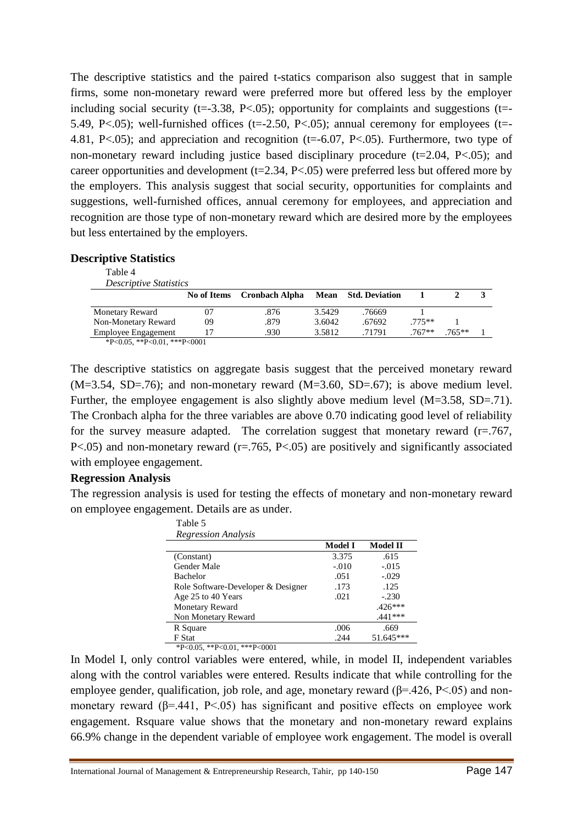The descriptive statistics and the paired t-statics comparison also suggest that in sample firms, some non-monetary reward were preferred more but offered less by the employer including social security ( $t=3.38$ ,  $P<05$ ); opportunity for complaints and suggestions ( $t=$ 5.49, P<.05); well-furnished offices ( $t = -2.50$ , P<.05); annual ceremony for employees ( $t = -1$ 4.81, P<.05); and appreciation and recognition (t=-6.07, P<.05). Furthermore, two type of non-monetary reward including justice based disciplinary procedure  $(t=2.04, P<.05)$ ; and career opportunities and development ( $t=2.34$ ,  $P<.05$ ) were preferred less but offered more by the employers. This analysis suggest that social security, opportunities for complaints and suggestions, well-furnished offices, annual ceremony for employees, and appreciation and recognition are those type of non-monetary reward which are desired more by the employees but less entertained by the employers.

#### **Descriptive Statistics**

Table 4

| <i>Descriptive Statistics</i>        |             |                       |        |                            |          |          |  |
|--------------------------------------|-------------|-----------------------|--------|----------------------------|----------|----------|--|
|                                      | No of Items | <b>Cronbach Alpha</b> |        | <b>Mean</b> Std. Deviation |          |          |  |
| <b>Monetary Reward</b>               | 07          | .876                  | 3.5429 | .76669                     |          |          |  |
| Non-Monetary Reward                  | 09          | .879                  | 3.6042 | .67692                     | $.775**$ |          |  |
| Employee Engagement                  |             | .930                  | 3.5812 | .71791                     | $.767**$ | $.765**$ |  |
| $*P<0.05$ . $*P<0.01$ . $***P<0.001$ |             |                       |        |                            |          |          |  |

\*P<0.05, \*\*P<0.01, \*\*\*P<0001

The descriptive statistics on aggregate basis suggest that the perceived monetary reward  $(M=3.54, SD=.76)$ ; and non-monetary reward  $(M=3.60, SD=.67)$ ; is above medium level. Further, the employee engagement is also slightly above medium level (M=3.58, SD=.71). The Cronbach alpha for the three variables are above 0.70 indicating good level of reliability for the survey measure adapted. The correlation suggest that monetary reward  $(r=.767, ...)$ P<.05) and non-monetary reward (r=.765, P<.05) are positively and significantly associated with employee engagement.

# **Regression Analysis**

The regression analysis is used for testing the effects of monetary and non-monetary reward on employee engagement. Details are as under.  $T_{\rm{B}}$  1.1.  $\tau$ 

| t abie p                           |                |                 |
|------------------------------------|----------------|-----------------|
| <i><b>Regression Analysis</b></i>  |                |                 |
|                                    | <b>Model I</b> | <b>Model II</b> |
| (Constant)                         | 3.375          | .615            |
| Gender Male                        | $-.010$        | $-.015$         |
| <b>Bachelor</b>                    | .051           | $-.029$         |
| Role Software-Developer & Designer | .173           | .125            |
| Age 25 to 40 Years                 | .021           | $-.230$         |
| <b>Monetary Reward</b>             |                | $.426***$       |
| Non Monetary Reward                |                | $.441***$       |
| R Square                           | .006           | .669            |
| F Stat                             | .244           | 51.645***       |
| *P<0.05, **P<0.01, ***P<0001       |                |                 |

In Model I, only control variables were entered, while, in model II, independent variables along with the control variables were entered. Results indicate that while controlling for the employee gender, qualification, job role, and age, monetary reward ( $\beta$ =.426, P<.05) and nonmonetary reward ( $\beta$ =.441, P<.05) has significant and positive effects on employee work engagement. Rsquare value shows that the monetary and non-monetary reward explains 66.9% change in the dependent variable of employee work engagement. The model is overall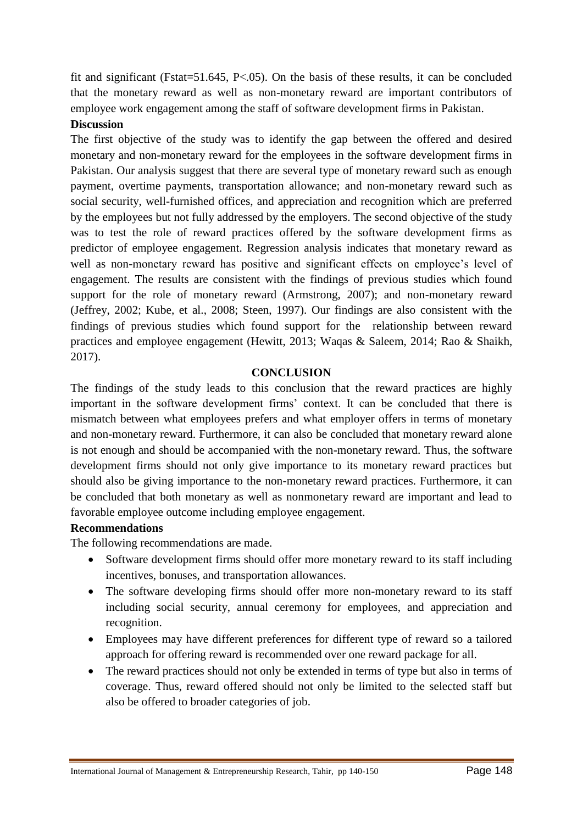fit and significant (Fstat=51.645, P<.05). On the basis of these results, it can be concluded that the monetary reward as well as non-monetary reward are important contributors of employee work engagement among the staff of software development firms in Pakistan.

# **Discussion**

The first objective of the study was to identify the gap between the offered and desired monetary and non-monetary reward for the employees in the software development firms in Pakistan. Our analysis suggest that there are several type of monetary reward such as enough payment, overtime payments, transportation allowance; and non-monetary reward such as social security, well-furnished offices, and appreciation and recognition which are preferred by the employees but not fully addressed by the employers. The second objective of the study was to test the role of reward practices offered by the software development firms as predictor of employee engagement. Regression analysis indicates that monetary reward as well as non-monetary reward has positive and significant effects on employee's level of engagement. The results are consistent with the findings of previous studies which found support for the role of monetary reward (Armstrong, 2007); and non-monetary reward (Jeffrey, 2002; Kube, et al., 2008; Steen, 1997). Our findings are also consistent with the findings of previous studies which found support for the relationship between reward practices and employee engagement (Hewitt, 2013; Waqas & Saleem, 2014; Rao & Shaikh, 2017).

### **CONCLUSION**

The findings of the study leads to this conclusion that the reward practices are highly important in the software development firms' context. It can be concluded that there is mismatch between what employees prefers and what employer offers in terms of monetary and non-monetary reward. Furthermore, it can also be concluded that monetary reward alone is not enough and should be accompanied with the non-monetary reward. Thus, the software development firms should not only give importance to its monetary reward practices but should also be giving importance to the non-monetary reward practices. Furthermore, it can be concluded that both monetary as well as nonmonetary reward are important and lead to favorable employee outcome including employee engagement.

#### **Recommendations**

The following recommendations are made.

- Software development firms should offer more monetary reward to its staff including incentives, bonuses, and transportation allowances.
- The software developing firms should offer more non-monetary reward to its staff including social security, annual ceremony for employees, and appreciation and recognition.
- Employees may have different preferences for different type of reward so a tailored approach for offering reward is recommended over one reward package for all.
- The reward practices should not only be extended in terms of type but also in terms of coverage. Thus, reward offered should not only be limited to the selected staff but also be offered to broader categories of job.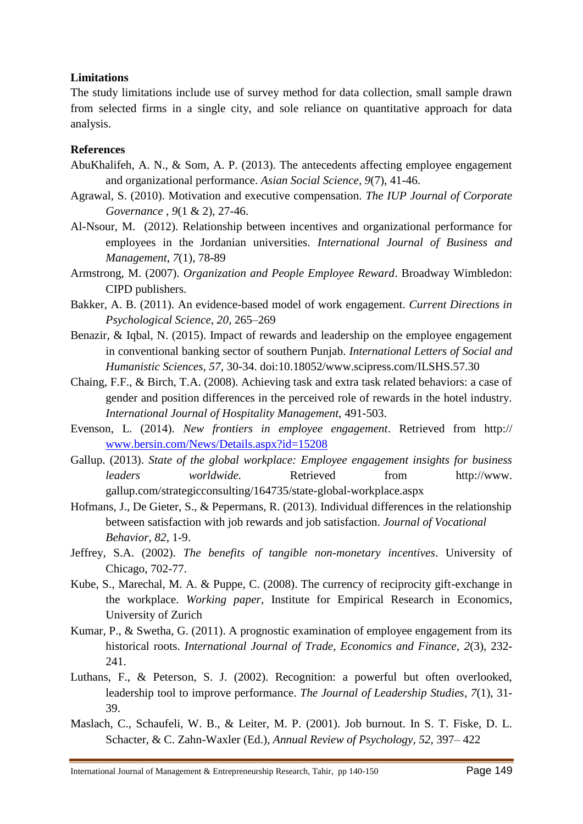# **Limitations**

The study limitations include use of survey method for data collection, small sample drawn from selected firms in a single city, and sole reliance on quantitative approach for data analysis.

# **References**

- AbuKhalifeh, A. N., & Som, A. P. (2013). The antecedents affecting employee engagement and organizational performance. *Asian Social Science, 9*(7), 41-46.
- Agrawal, S. (2010). Motivation and executive compensation. *The IUP Journal of Corporate Governance , 9*(1 & 2), 27-46.
- Al-Nsour, M. (2012). Relationship between incentives and organizational performance for employees in the Jordanian universities. *International Journal of Business and Management*, *7*(1), 78-89
- Armstrong, M. (2007). *Organization and People Employee Reward*. Broadway Wimbledon: CIPD publishers.
- Bakker, A. B. (2011). An evidence-based model of work engagement. *Current Directions in Psychological Science, 20*, 265–269
- Benazir, & Iqbal, N. (2015). Impact of rewards and leadership on the employee engagement in conventional banking sector of southern Punjab. *International Letters of Social and Humanistic Sciences, 57*, 30-34. doi:10.18052/www.scipress.com/ILSHS.57.30
- Chaing, F.F., & Birch, T.A. (2008). Achieving task and extra task related behaviors: a case of gender and position differences in the perceived role of rewards in the hotel industry. *International Journal of Hospitality Management,* 491-503.
- Evenson, L. (2014). *New frontiers in employee engagement*. Retrieved from http:// [www.bersin.com/News/Details.aspx?id=15208](http://www.bersin.com/News/Details.aspx?id=15208)
- Gallup. (2013). *State of the global workplace: Employee engagement insights for business leaders worldwide*. Retrieved from http://www. gallup.com/strategicconsulting/164735/state-global-workplace.aspx
- Hofmans, J., De Gieter, S., & Pepermans, R. (2013). Individual differences in the relationship between satisfaction with job rewards and job satisfaction. *Journal of Vocational Behavior*, *82*, 1-9.
- Jeffrey, S.A. (2002). *The benefits of tangible non-monetary incentives*. University of Chicago, 702-77.
- Kube, S., Marechal, M. A. & Puppe, C. (2008). The currency of reciprocity gift-exchange in the workplace. *Working paper,* Institute for Empirical Research in Economics, University of Zurich
- Kumar, P., & Swetha, G. (2011). A prognostic examination of employee engagement from its historical roots. *International Journal of Trade, Economics and Finance*, *2*(3), 232- 241.
- Luthans, F., & Peterson, S. J. (2002). Recognition: a powerful but often overlooked, leadership tool to improve performance. *The Journal of Leadership Studies*, *7*(1), 31- 39.
- Maslach, C., Schaufeli, W. B., & Leiter, M. P. (2001). Job burnout. In S. T. Fiske, D. L. Schacter, & C. Zahn-Waxler (Ed.), *Annual Review of Psychology, 52,* 397– 422